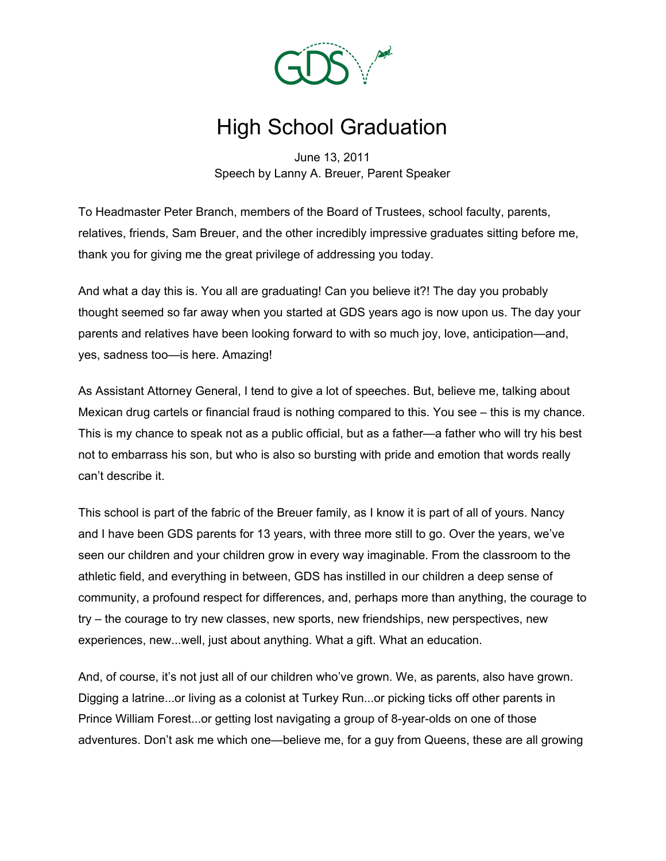

## High School Graduation

June 13, 2011 Speech by Lanny A. Breuer, Parent Speaker

To Headmaster Peter Branch, members of the Board of Trustees, school faculty, parents, relatives, friends, Sam Breuer, and the other incredibly impressive graduates sitting before me, thank you for giving me the great privilege of addressing you today.

And what a day this is. You all are graduating! Can you believe it?! The day you probably thought seemed so far away when you started at GDS years ago is now upon us. The day your parents and relatives have been looking forward to with so much joy, love, anticipation—and, yes, sadness too—is here. Amazing!

As Assistant Attorney General, I tend to give a lot of speeches. But, believe me, talking about Mexican drug cartels or financial fraud is nothing compared to this. You see – this is my chance. This is my chance to speak not as a public official, but as a father—a father who will try his best not to embarrass his son, but who is also so bursting with pride and emotion that words really can't describe it.

This school is part of the fabric of the Breuer family, as I know it is part of all of yours. Nancy and I have been GDS parents for 13 years, with three more still to go. Over the years, we've seen our children and your children grow in every way imaginable. From the classroom to the athletic field, and everything in between, GDS has instilled in our children a deep sense of community, a profound respect for differences, and, perhaps more than anything, the courage to try – the courage to try new classes, new sports, new friendships, new perspectives, new experiences, new...well, just about anything. What a gift. What an education.

And, of course, it's not just all of our children who've grown. We, as parents, also have grown. Digging a latrine...or living as a colonist at Turkey Run...or picking ticks off other parents in Prince William Forest...or getting lost navigating a group of 8-year-olds on one of those adventures. Don't ask me which one—believe me, for a guy from Queens, these are all growing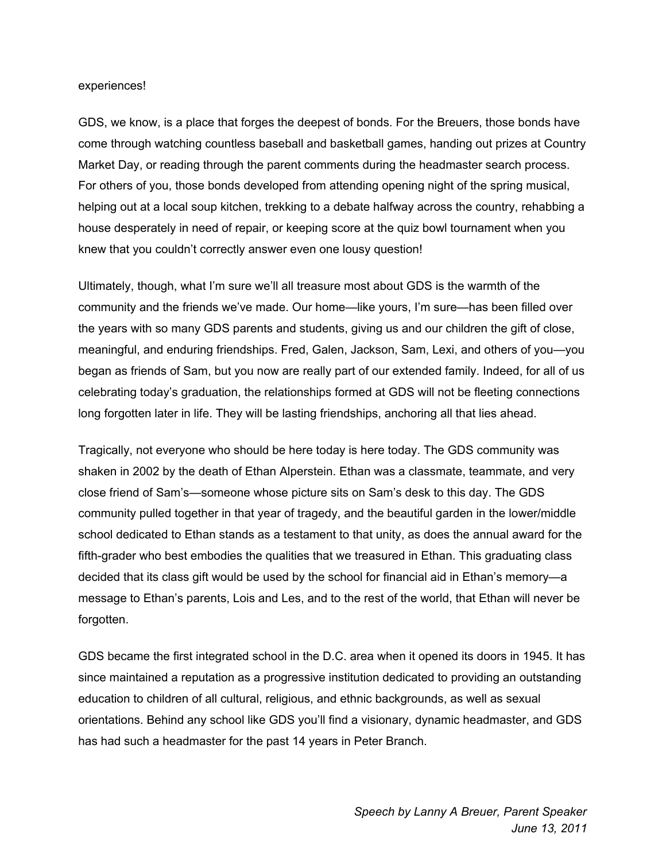## experiences!

GDS, we know, is a place that forges the deepest of bonds. For the Breuers, those bonds have come through watching countless baseball and basketball games, handing out prizes at Country Market Day, or reading through the parent comments during the headmaster search process. For others of you, those bonds developed from attending opening night of the spring musical, helping out at a local soup kitchen, trekking to a debate halfway across the country, rehabbing a house desperately in need of repair, or keeping score at the quiz bowl tournament when you knew that you couldn't correctly answer even one lousy question!

Ultimately, though, what I'm sure we'll all treasure most about GDS is the warmth of the community and the friends we've made. Our home—like yours, I'm sure—has been filled over the years with so many GDS parents and students, giving us and our children the gift of close, meaningful, and enduring friendships. Fred, Galen, Jackson, Sam, Lexi, and others of you—you began as friends of Sam, but you now are really part of our extended family. Indeed, for all of us celebrating today's graduation, the relationships formed at GDS will not be fleeting connections long forgotten later in life. They will be lasting friendships, anchoring all that lies ahead.

Tragically, not everyone who should be here today is here today. The GDS community was shaken in 2002 by the death of Ethan Alperstein. Ethan was a classmate, teammate, and very close friend of Sam's—someone whose picture sits on Sam's desk to this day. The GDS community pulled together in that year of tragedy, and the beautiful garden in the lower/middle school dedicated to Ethan stands as a testament to that unity, as does the annual award for the fifth-grader who best embodies the qualities that we treasured in Ethan. This graduating class decided that its class gift would be used by the school for financial aid in Ethan's memory—a message to Ethan's parents, Lois and Les, and to the rest of the world, that Ethan will never be forgotten.

GDS became the first integrated school in the D.C. area when it opened its doors in 1945. It has since maintained a reputation as a progressive institution dedicated to providing an outstanding education to children of all cultural, religious, and ethnic backgrounds, as well as sexual orientations. Behind any school like GDS you'll find a visionary, dynamic headmaster, and GDS has had such a headmaster for the past 14 years in Peter Branch.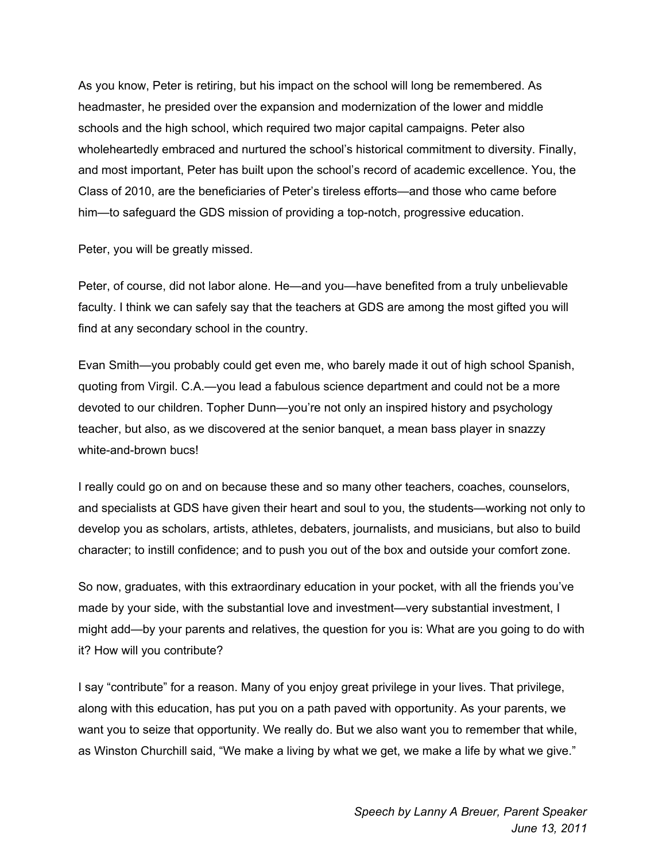As you know, Peter is retiring, but his impact on the school will long be remembered. As headmaster, he presided over the expansion and modernization of the lower and middle schools and the high school, which required two major capital campaigns. Peter also wholeheartedly embraced and nurtured the school's historical commitment to diversity. Finally, and most important, Peter has built upon the school's record of academic excellence. You, the Class of 2010, are the beneficiaries of Peter's tireless efforts—and those who came before him—to safeguard the GDS mission of providing a top-notch, progressive education.

Peter, you will be greatly missed.

Peter, of course, did not labor alone. He—and you—have benefited from a truly unbelievable faculty. I think we can safely say that the teachers at GDS are among the most gifted you will find at any secondary school in the country.

Evan Smith—you probably could get even me, who barely made it out of high school Spanish, quoting from Virgil. C.A.—you lead a fabulous science department and could not be a more devoted to our children. Topher Dunn—you're not only an inspired history and psychology teacher, but also, as we discovered at the senior banquet, a mean bass player in snazzy white-and-brown bucs!

I really could go on and on because these and so many other teachers, coaches, counselors, and specialists at GDS have given their heart and soul to you, the students—working not only to develop you as scholars, artists, athletes, debaters, journalists, and musicians, but also to build character; to instill confidence; and to push you out of the box and outside your comfort zone.

So now, graduates, with this extraordinary education in your pocket, with all the friends you've made by your side, with the substantial love and investment—very substantial investment, I might add—by your parents and relatives, the question for you is: What are you going to do with it? How will you contribute?

I say "contribute" for a reason. Many of you enjoy great privilege in your lives. That privilege, along with this education, has put you on a path paved with opportunity. As your parents, we want you to seize that opportunity. We really do. But we also want you to remember that while, as Winston Churchill said, "We make a living by what we get, we make a life by what we give."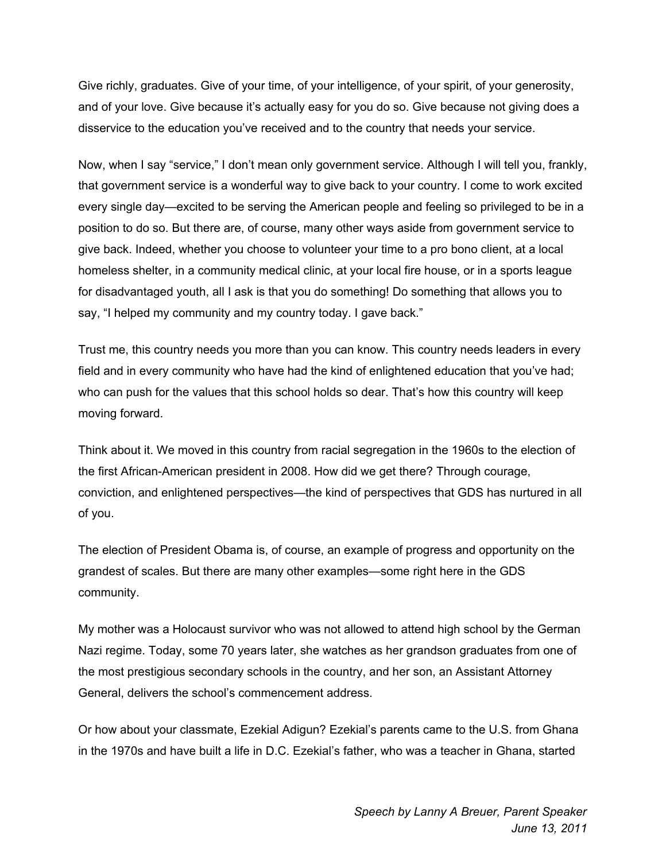Give richly, graduates. Give of your time, of your intelligence, of your spirit, of your generosity, and of your love. Give because it's actually easy for you do so. Give because not giving does a disservice to the education you've received and to the country that needs your service.

Now, when I say "service," I don't mean only government service. Although I will tell you, frankly, that government service is a wonderful way to give back to your country. I come to work excited every single day—excited to be serving the American people and feeling so privileged to be in a position to do so. But there are, of course, many other ways aside from government service to give back. Indeed, whether you choose to volunteer your time to a pro bono client, at a local homeless shelter, in a community medical clinic, at your local fire house, or in a sports league for disadvantaged youth, all I ask is that you do something! Do something that allows you to say, "I helped my community and my country today. I gave back."

Trust me, this country needs you more than you can know. This country needs leaders in every field and in every community who have had the kind of enlightened education that you've had; who can push for the values that this school holds so dear. That's how this country will keep moving forward.

Think about it. We moved in this country from racial segregation in the 1960s to the election of the first African-American president in 2008. How did we get there? Through courage, conviction, and enlightened perspectives—the kind of perspectives that GDS has nurtured in all of you.

The election of President Obama is, of course, an example of progress and opportunity on the grandest of scales. But there are many other examples—some right here in the GDS community.

My mother was a Holocaust survivor who was not allowed to attend high school by the German Nazi regime. Today, some 70 years later, she watches as her grandson graduates from one of the most prestigious secondary schools in the country, and her son, an Assistant Attorney General, delivers the school's commencement address.

Or how about your classmate, Ezekial Adigun? Ezekial's parents came to the U.S. from Ghana in the 1970s and have built a life in D.C. Ezekial's father, who was a teacher in Ghana, started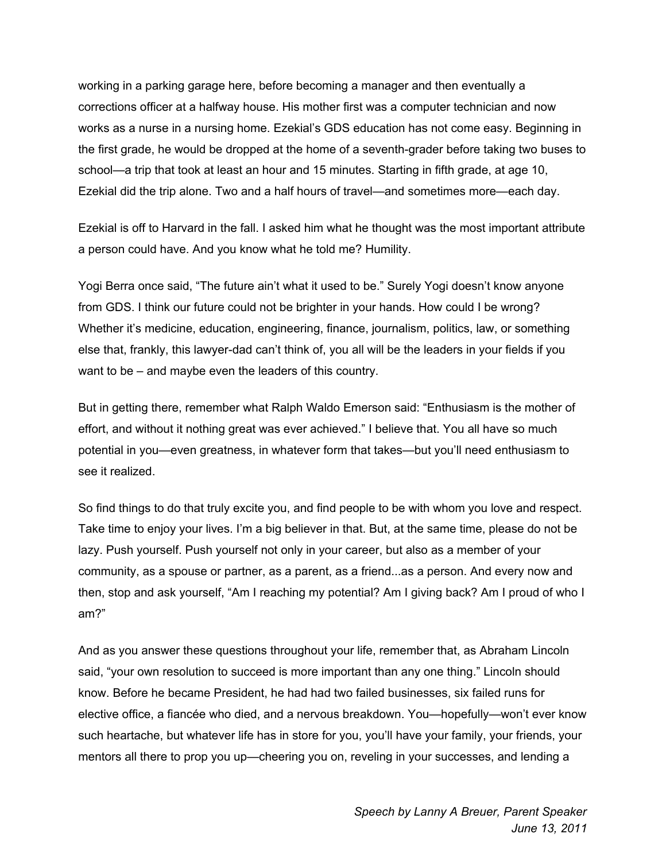working in a parking garage here, before becoming a manager and then eventually a corrections officer at a halfway house. His mother first was a computer technician and now works as a nurse in a nursing home. Ezekial's GDS education has not come easy. Beginning in the first grade, he would be dropped at the home of a seventh-grader before taking two buses to school—a trip that took at least an hour and 15 minutes. Starting in fifth grade, at age 10, Ezekial did the trip alone. Two and a half hours of travel—and sometimes more—each day.

Ezekial is off to Harvard in the fall. I asked him what he thought was the most important attribute a person could have. And you know what he told me? Humility.

Yogi Berra once said, "The future ain't what it used to be." Surely Yogi doesn't know anyone from GDS. I think our future could not be brighter in your hands. How could I be wrong? Whether it's medicine, education, engineering, finance, journalism, politics, law, or something else that, frankly, this lawyer-dad can't think of, you all will be the leaders in your fields if you want to be – and maybe even the leaders of this country.

But in getting there, remember what Ralph Waldo Emerson said: "Enthusiasm is the mother of effort, and without it nothing great was ever achieved." I believe that. You all have so much potential in you—even greatness, in whatever form that takes—but you'll need enthusiasm to see it realized.

So find things to do that truly excite you, and find people to be with whom you love and respect. Take time to enjoy your lives. I'm a big believer in that. But, at the same time, please do not be lazy. Push yourself. Push yourself not only in your career, but also as a member of your community, as a spouse or partner, as a parent, as a friend...as a person. And every now and then, stop and ask yourself, "Am I reaching my potential? Am I giving back? Am I proud of who I am?"

And as you answer these questions throughout your life, remember that, as Abraham Lincoln said, "your own resolution to succeed is more important than any one thing." Lincoln should know. Before he became President, he had had two failed businesses, six failed runs for elective office, a fiancée who died, and a nervous breakdown. You—hopefully—won't ever know such heartache, but whatever life has in store for you, you'll have your family, your friends, your mentors all there to prop you up—cheering you on, reveling in your successes, and lending a